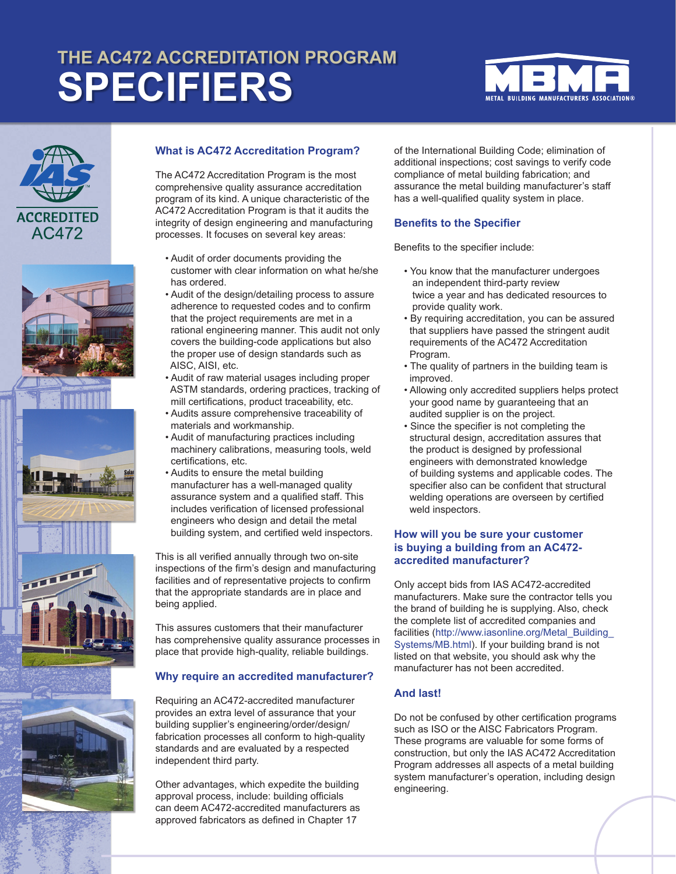# **THE AC472 ACCREDITATION PROGRAM SPECIFIERS**













# **What is AC472 Accreditation Program?**

The AC472 Accreditation Program is the most comprehensive quality assurance accreditation program of its kind. A unique characteristic of the AC472 Accreditation Program is that it audits the integrity of design engineering and manufacturing processes. It focuses on several key areas:

- Audit of order documents providing the customer with clear information on what he/she has ordered.
- Audit of the design/detailing process to assure adherence to requested codes and to confirm that the project requirements are met in a rational engineering manner. This audit not only covers the building-code applications but also the proper use of design standards such as AISC, AISI, etc.
- Audit of raw material usages including proper ASTM standards, ordering practices, tracking of mill certifications, product traceability, etc.
- Audits assure comprehensive traceability of materials and workmanship.
- Audit of manufacturing practices including machinery calibrations, measuring tools, weld certifications, etc.
- Audits to ensure the metal building manufacturer has a well-managed quality assurance system and a qualified staff. This includes verification of licensed professional engineers who design and detail the metal building system, and certified weld inspectors.

This is all verified annually through two on-site inspections of the firm's design and manufacturing facilities and of representative projects to confirm that the appropriate standards are in place and being applied.

This assures customers that their manufacturer has comprehensive quality assurance processes in place that provide high-quality, reliable buildings.

# **Why require an accredited manufacturer?**

Requiring an AC472-accredited manufacturer provides an extra level of assurance that your building supplier's engineering/order/design/ fabrication processes all conform to high-quality standards and are evaluated by a respected independent third party.

Other advantages, which expedite the building approval process, include: building officials can deem AC472-accredited manufacturers as approved fabricators as defined in Chapter 17

of the International Building Code; elimination of additional inspections; cost savings to verify code compliance of metal building fabrication; and assurance the metal building manufacturer's staff has a well-qualified quality system in place.

# **Benefits to the Specifier**

Benefits to the specifier include:

- You know that the manufacturer undergoes an independent third-party review twice a year and has dedicated resources to provide quality work.
- By requiring accreditation, you can be assured that suppliers have passed the stringent audit requirements of the AC472 Accreditation Program.
- The quality of partners in the building team is improved.
- Allowing only accredited suppliers helps protect your good name by guaranteeing that an audited supplier is on the project.
- Since the specifier is not completing the structural design, accreditation assures that the product is designed by professional engineers with demonstrated knowledge of building systems and applicable codes. The specifier also can be confident that structural welding operations are overseen by certified weld inspectors.

#### **How will you be sure your customer is buying a building from an AC472 accredited manufacturer?**

Only accept bids from IAS AC472-accredited manufacturers. Make sure the contractor tells you the brand of building he is supplying. Also, check the complete list of accredited companies and facilities (http://www.iasonline.org/Metal\_Building Systems/MB.html). If your building brand is not listed on that website, you should ask why the manufacturer has not been accredited.

## **And last!**

Do not be confused by other certification programs such as ISO or the AISC Fabricators Program. These programs are valuable for some forms of construction, but only the IAS AC472 Accreditation Program addresses all aspects of a metal building system manufacturer's operation, including design engineering.